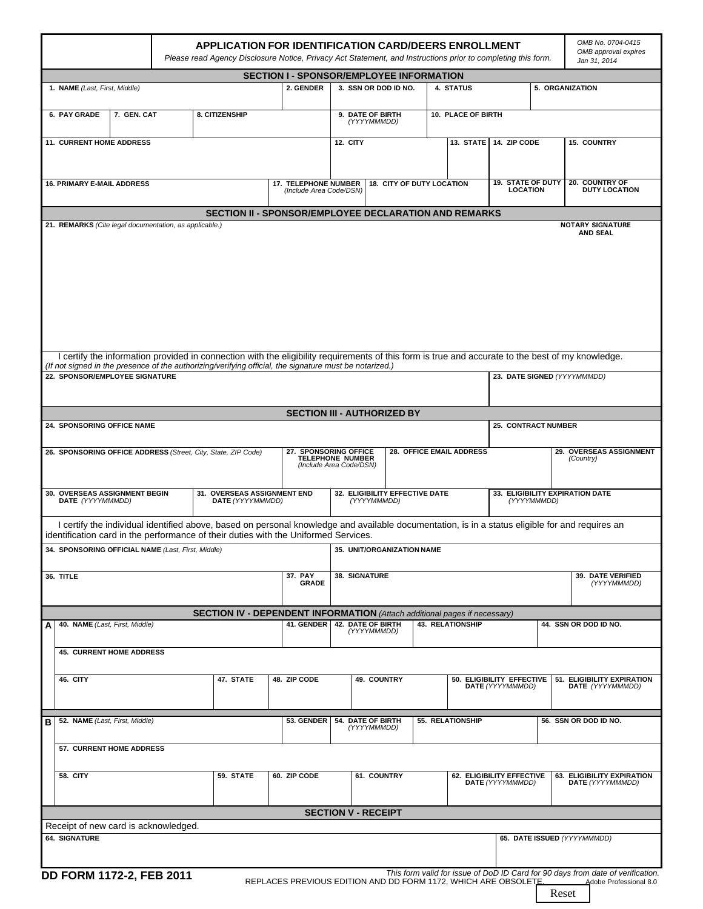|                                                                                                                                           |  | <b>APPLICATION FOR IDENTIFICATION CARD/DEERS ENROLLMENT</b><br>Please read Agency Disclosure Notice, Privacy Act Statement, and Instructions prior to completing this form. |                                                       |                                                 |                                          |                                                                             |                                               |                                                                                                             |                             |                           |                                                                |                                                | OMB No. 0704-0415<br>OMB approval expires<br>Jan 31, 2014                                                                                         |
|-------------------------------------------------------------------------------------------------------------------------------------------|--|-----------------------------------------------------------------------------------------------------------------------------------------------------------------------------|-------------------------------------------------------|-------------------------------------------------|------------------------------------------|-----------------------------------------------------------------------------|-----------------------------------------------|-------------------------------------------------------------------------------------------------------------|-----------------------------|---------------------------|----------------------------------------------------------------|------------------------------------------------|---------------------------------------------------------------------------------------------------------------------------------------------------|
|                                                                                                                                           |  |                                                                                                                                                                             |                                                       | <b>SECTION I - SPONSOR/EMPLOYEE INFORMATION</b> |                                          |                                                                             |                                               |                                                                                                             |                             |                           |                                                                |                                                |                                                                                                                                                   |
| 1. NAME (Last, First, Middle)                                                                                                             |  | 2. GENDER                                                                                                                                                                   |                                                       |                                                 | 3. SSN OR DOD ID NO.<br><b>4. STATUS</b> |                                                                             |                                               | 5. ORGANIZATION                                                                                             |                             |                           |                                                                |                                                |                                                                                                                                                   |
| 8. CITIZENSHIP<br>6. PAY GRADE<br>7. GEN. CAT                                                                                             |  |                                                                                                                                                                             |                                                       |                                                 | 9. DATE OF BIRTH<br>(YYYYMMMDD)          |                                                                             |                                               |                                                                                                             | 10. PLACE OF BIRTH          |                           |                                                                |                                                |                                                                                                                                                   |
| 11. CURRENT HOME ADDRESS                                                                                                                  |  |                                                                                                                                                                             | <b>12. CITY</b>                                       |                                                 |                                          |                                                                             |                                               | 13. STATE 14. ZIP CODE                                                                                      |                             | <b>15. COUNTRY</b>        |                                                                |                                                |                                                                                                                                                   |
|                                                                                                                                           |  |                                                                                                                                                                             |                                                       |                                                 |                                          |                                                                             |                                               |                                                                                                             |                             |                           |                                                                |                                                |                                                                                                                                                   |
| <b>16. PRIMARY E-MAIL ADDRESS</b>                                                                                                         |  |                                                                                                                                                                             |                                                       | <b>17. TELEPHONE NUMBER</b>                     |                                          | (Include Area Code/DSN)                                                     |                                               |                                                                                                             |                             | 18. CITY OF DUTY LOCATION | <b>19. STATE OF DUTY</b><br><b>LOCATION</b>                    |                                                | 20. COUNTRY OF<br><b>DUTY LOCATION</b>                                                                                                            |
|                                                                                                                                           |  |                                                                                                                                                                             | SECTION II - SPONSOR/EMPLOYEE DECLARATION AND REMARKS |                                                 |                                          |                                                                             |                                               |                                                                                                             |                             |                           |                                                                |                                                |                                                                                                                                                   |
| 21. REMARKS (Cite legal documentation, as applicable.)                                                                                    |  |                                                                                                                                                                             |                                                       |                                                 |                                          |                                                                             |                                               |                                                                                                             |                             |                           |                                                                |                                                | <b>NOTARY SIGNATURE</b><br><b>AND SEAL</b>                                                                                                        |
|                                                                                                                                           |  |                                                                                                                                                                             |                                                       |                                                 |                                          |                                                                             |                                               |                                                                                                             |                             |                           |                                                                |                                                | I certify the information provided in connection with the eligibility requirements of this form is true and accurate to the best of my knowledge. |
| (If not signed in the presence of the authorizing/verifying official, the signature must be notarized.)<br>22. SPONSOR/EMPLOYEE SIGNATURE |  |                                                                                                                                                                             |                                                       |                                                 |                                          |                                                                             |                                               |                                                                                                             | 23. DATE SIGNED (YYYYMMMDD) |                           |                                                                |                                                |                                                                                                                                                   |
|                                                                                                                                           |  |                                                                                                                                                                             |                                                       |                                                 |                                          | <b>SECTION III - AUTHORIZED BY</b>                                          |                                               |                                                                                                             |                             |                           |                                                                |                                                |                                                                                                                                                   |
| 24. SPONSORING OFFICE NAME                                                                                                                |  |                                                                                                                                                                             |                                                       |                                                 |                                          |                                                                             |                                               |                                                                                                             |                             |                           | <b>25. CONTRACT NUMBER</b>                                     |                                                |                                                                                                                                                   |
|                                                                                                                                           |  |                                                                                                                                                                             |                                                       |                                                 |                                          |                                                                             |                                               |                                                                                                             |                             |                           |                                                                |                                                |                                                                                                                                                   |
| 26. SPONSORING OFFICE ADDRESS (Street, City, State, ZIP Code)                                                                             |  |                                                                                                                                                                             |                                                       |                                                 |                                          | 27. SPONSORING OFFICE<br><b>TELEPHONE NUMBER</b><br>(Include Area Code/DSN) |                                               | 28. OFFICE EMAIL ADDRESS                                                                                    |                             |                           |                                                                |                                                | 29. OVERSEAS ASSIGNMENT<br>(Country)                                                                                                              |
| 31. OVERSEAS ASSIGNMENT END<br>30. OVERSEAS ASSIGNMENT BEGIN<br>DATE (YYYYMMMDD)<br>DATE (YYYYMMMDD)                                      |  |                                                                                                                                                                             |                                                       |                                                 |                                          |                                                                             | 32. ELIGIBILITY EFFECTIVE DATE<br>(YYYYMMMDD) |                                                                                                             |                             |                           |                                                                | 33. ELIGIBILITY EXPIRATION DATE<br>(YYYYMMMDD) |                                                                                                                                                   |
| identification card in the performance of their duties with the Uniformed Services.                                                       |  |                                                                                                                                                                             |                                                       |                                                 |                                          |                                                                             |                                               |                                                                                                             |                             |                           |                                                                |                                                | I certify the individual identified above, based on personal knowledge and available documentation, is in a status eligible for and requires an   |
| 34. SPONSORING OFFICIAL NAME (Last, First, Middle)                                                                                        |  |                                                                                                                                                                             |                                                       |                                                 |                                          |                                                                             | 35. UNIT/ORGANIZATION NAME                    |                                                                                                             |                             |                           |                                                                |                                                |                                                                                                                                                   |
| 36. TITLE                                                                                                                                 |  |                                                                                                                                                                             |                                                       | 37. PAY<br><b>GRADE</b>                         |                                          | 38. SIGNATURE                                                               |                                               |                                                                                                             |                             |                           |                                                                |                                                | <b>39. DATE VERIFIED</b><br>(YYYYMMMDD)                                                                                                           |
|                                                                                                                                           |  |                                                                                                                                                                             |                                                       |                                                 |                                          |                                                                             |                                               |                                                                                                             |                             |                           |                                                                |                                                |                                                                                                                                                   |
| 40. NAME (Last, First, Middle)<br>А                                                                                                       |  |                                                                                                                                                                             | 41. GENDER                                            |                                                 | <b>42. DATE OF BIRTH</b><br>(YYYYMMMDD)  |                                                                             |                                               | <b>SECTION IV - DEPENDENT INFORMATION</b> (Attach additional pages if necessary)<br><b>43. RELATIONSHIP</b> |                             |                           | 44. SSN OR DOD ID NO.                                          |                                                |                                                                                                                                                   |
| <b>45. CURRENT HOME ADDRESS</b>                                                                                                           |  |                                                                                                                                                                             |                                                       |                                                 |                                          |                                                                             |                                               |                                                                                                             |                             |                           |                                                                |                                                |                                                                                                                                                   |
| 46. CITY                                                                                                                                  |  |                                                                                                                                                                             | 47. STATE                                             | 48. ZIP CODE                                    |                                          |                                                                             | 49. COUNTRY                                   |                                                                                                             |                             |                           | 50. ELIGIBILITY EFFECTIVE<br>DATE (YYYYMMMDD)                  |                                                | 51. ELIGIBILITY EXPIRATION<br>DATE (YYYYMMMDD)                                                                                                    |
| 52. NAME (Last, First, Middle)<br>в                                                                                                       |  |                                                                                                                                                                             |                                                       |                                                 | 53. GENDER                               |                                                                             | <b>54. DATE OF BIRTH</b><br>(YYYYMMMDD)       |                                                                                                             | 55. RELATIONSHIP            |                           |                                                                |                                                | 56. SSN OR DOD ID NO.                                                                                                                             |
| <b>57. CURRENT HOME ADDRESS</b>                                                                                                           |  |                                                                                                                                                                             |                                                       |                                                 |                                          |                                                                             |                                               |                                                                                                             |                             |                           |                                                                |                                                |                                                                                                                                                   |
|                                                                                                                                           |  |                                                                                                                                                                             |                                                       |                                                 |                                          |                                                                             |                                               |                                                                                                             |                             |                           |                                                                |                                                |                                                                                                                                                   |
| <b>58. CITY</b>                                                                                                                           |  |                                                                                                                                                                             | 59. STATE                                             | 60. ZIP CODE                                    |                                          |                                                                             | 61. COUNTRY                                   |                                                                                                             |                             |                           | 62. ELIGIBILITY EFFECTIVE<br>DATE (YYYYMMMDD)                  |                                                | 63. ELIGIBILITY EXPIRATION<br>DATE (YYYYMMMDD)                                                                                                    |
|                                                                                                                                           |  |                                                                                                                                                                             |                                                       |                                                 |                                          | <b>SECTION V - RECEIPT</b>                                                  |                                               |                                                                                                             |                             |                           |                                                                |                                                |                                                                                                                                                   |
| Receipt of new card is acknowledged.                                                                                                      |  |                                                                                                                                                                             |                                                       |                                                 |                                          |                                                                             |                                               |                                                                                                             |                             |                           |                                                                |                                                |                                                                                                                                                   |
| <b>64. SIGNATURE</b>                                                                                                                      |  |                                                                                                                                                                             |                                                       |                                                 |                                          |                                                                             |                                               |                                                                                                             |                             |                           |                                                                |                                                | 65. DATE ISSUED (YYYYMMMDD)                                                                                                                       |
| DD FORM 1172-2, FEB 2011                                                                                                                  |  |                                                                                                                                                                             |                                                       |                                                 |                                          |                                                                             |                                               |                                                                                                             |                             |                           | REPLACES PREVIOUS EDITION AND DD FORM 1172, WHICH ARE OBSOLETE |                                                | This form valid for issue of DoD ID Card for 90 days from date of verification.<br>Adobe Professional 8.0                                         |

ResetI

 $\blacksquare$